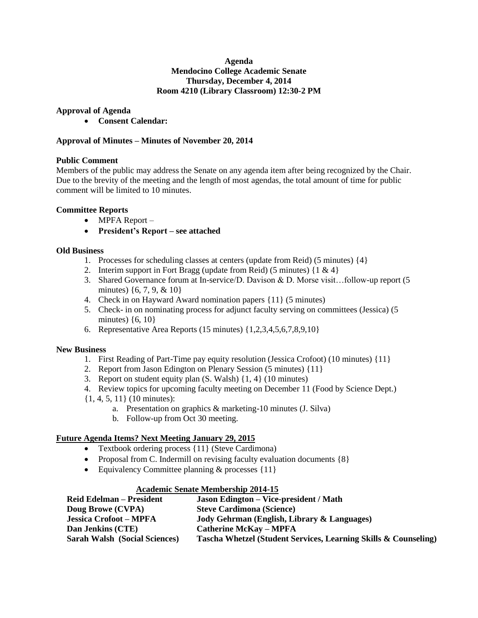#### **Agenda Mendocino College Academic Senate Thursday, December 4, 2014 Room 4210 (Library Classroom) 12:30-2 PM**

## **Approval of Agenda**

**Consent Calendar:**

#### **Approval of Minutes – Minutes of November 20, 2014**

#### **Public Comment**

Members of the public may address the Senate on any agenda item after being recognized by the Chair. Due to the brevity of the meeting and the length of most agendas, the total amount of time for public comment will be limited to 10 minutes.

## **Committee Reports**

- MPFA Report –
- **President's Report – see attached**

# **Old Business**

- 1. Processes for scheduling classes at centers (update from Reid) (5 minutes) {4}
- 2. Interim support in Fort Bragg (update from Reid) (5 minutes)  $\{1 \& 4\}$
- 3. Shared Governance forum at In-service/D. Davison & D. Morse visit…follow-up report (5 minutes) {6, 7, 9, & 10}
- 4. Check in on Hayward Award nomination papers {11} (5 minutes)
- 5. Check- in on nominating process for adjunct faculty serving on committees (Jessica) (5 minutes)  $\{6, 10\}$
- 6. Representative Area Reports (15 minutes) {1,2,3,4,5,6,7,8,9,10}

#### **New Business**

- 1. First Reading of Part-Time pay equity resolution (Jessica Crofoot) (10 minutes) {11}
- 2. Report from Jason Edington on Plenary Session (5 minutes) {11}
- 3. Report on student equity plan (S. Walsh) {1, 4} (10 minutes)
- 4. Review topics for upcoming faculty meeting on December 11 (Food by Science Dept.)
- {1, 4, 5, 11} (10 minutes):
	- a. Presentation on graphics & marketing-10 minutes (J. Silva)
		- b. Follow-up from Oct 30 meeting.

## **Future Agenda Items? Next Meeting January 29, 2015**

- Textbook ordering process {11} (Steve Cardimona)
- Proposal from C. Indermill on revising faculty evaluation documents  $\{8\}$
- Equivalency Committee planning  $&$  processes  $\{11\}$

#### **Academic Senate Membership 2014-15**

| <b>Reid Edelman – President</b>      | <b>Jason Edington – Vice-president / Math</b>                   |
|--------------------------------------|-----------------------------------------------------------------|
| Doug Browe (CVPA)                    | <b>Steve Cardimona (Science)</b>                                |
| <b>Jessica Crofoot – MPFA</b>        | Jody Gehrman (English, Library & Languages)                     |
| Dan Jenkins (CTE)                    | <b>Catherine McKay - MPFA</b>                                   |
| <b>Sarah Walsh (Social Sciences)</b> | Tascha Whetzel (Student Services, Learning Skills & Counseling) |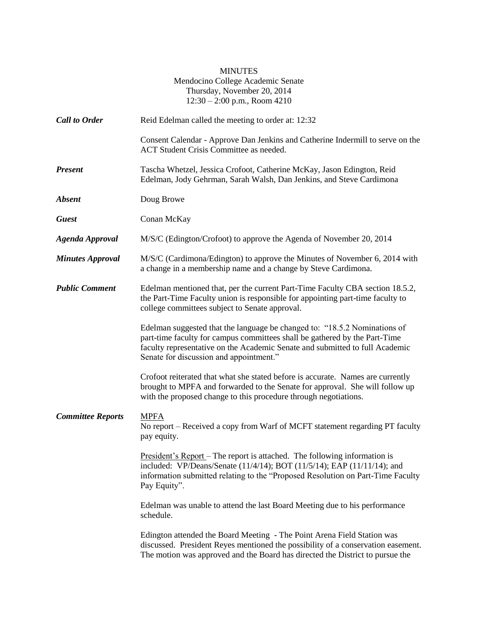|                          | <b>MINUTES</b><br>Mendocino College Academic Senate<br>Thursday, November 20, 2014<br>$12:30 - 2:00$ p.m., Room 4210                                                                                                                                                               |
|--------------------------|------------------------------------------------------------------------------------------------------------------------------------------------------------------------------------------------------------------------------------------------------------------------------------|
| <b>Call to Order</b>     | Reid Edelman called the meeting to order at: 12:32                                                                                                                                                                                                                                 |
|                          | Consent Calendar - Approve Dan Jenkins and Catherine Indermill to serve on the<br>ACT Student Crisis Committee as needed.                                                                                                                                                          |
| <b>Present</b>           | Tascha Whetzel, Jessica Crofoot, Catherine McKay, Jason Edington, Reid<br>Edelman, Jody Gehrman, Sarah Walsh, Dan Jenkins, and Steve Cardimona                                                                                                                                     |
| <b>Absent</b>            | Doug Browe                                                                                                                                                                                                                                                                         |
| <b>Guest</b>             | Conan McKay                                                                                                                                                                                                                                                                        |
| <b>Agenda Approval</b>   | M/S/C (Edington/Crofoot) to approve the Agenda of November 20, 2014                                                                                                                                                                                                                |
| <b>Minutes Approval</b>  | M/S/C (Cardimona/Edington) to approve the Minutes of November 6, 2014 with<br>a change in a membership name and a change by Steve Cardimona.                                                                                                                                       |
| <b>Public Comment</b>    | Edelman mentioned that, per the current Part-Time Faculty CBA section 18.5.2,<br>the Part-Time Faculty union is responsible for appointing part-time faculty to<br>college committees subject to Senate approval.                                                                  |
|                          | Edelman suggested that the language be changed to: "18.5.2 Nominations of<br>part-time faculty for campus committees shall be gathered by the Part-Time<br>faculty representative on the Academic Senate and submitted to full Academic<br>Senate for discussion and appointment." |
|                          | Crofoot reiterated that what she stated before is accurate. Names are currently<br>brought to MPFA and forwarded to the Senate for approval. She will follow up<br>with the proposed change to this procedure through negotiations.                                                |
| <b>Committee Reports</b> | <b>MPFA</b><br>No report – Received a copy from Warf of MCFT statement regarding PT faculty<br>pay equity.                                                                                                                                                                         |
|                          | <u>President's Report</u> – The report is attached. The following information is<br>included: VP/Deans/Senate (11/4/14); BOT (11/5/14); EAP (11/11/14); and<br>information submitted relating to the "Proposed Resolution on Part-Time Faculty<br>Pay Equity".                     |
|                          | Edelman was unable to attend the last Board Meeting due to his performance<br>schedule.                                                                                                                                                                                            |
|                          | Edington attended the Board Meeting - The Point Arena Field Station was<br>discussed. President Reyes mentioned the possibility of a conservation easement.<br>The motion was approved and the Board has directed the District to pursue the                                       |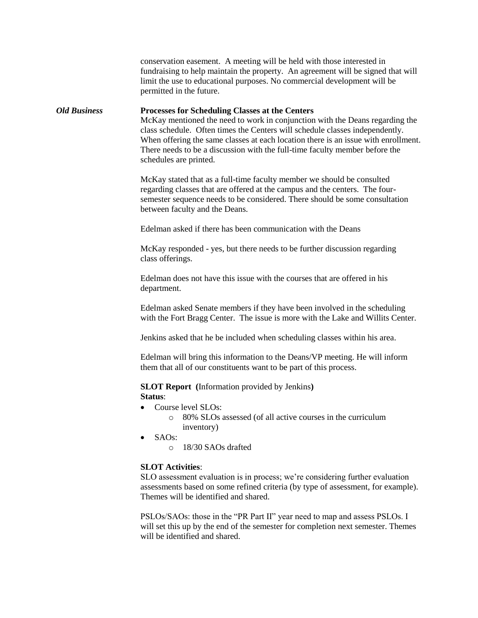conservation easement. A meeting will be held with those interested in fundraising to help maintain the property. An agreement will be signed that will limit the use to educational purposes. No commercial development will be permitted in the future. *Old Business* **Processes for Scheduling Classes at the Centers** McKay mentioned the need to work in conjunction with the Deans regarding the class schedule. Often times the Centers will schedule classes independently. When offering the same classes at each location there is an issue with enrollment. There needs to be a discussion with the full-time faculty member before the schedules are printed. McKay stated that as a full-time faculty member we should be consulted regarding classes that are offered at the campus and the centers. The foursemester sequence needs to be considered. There should be some consultation between faculty and the Deans. Edelman asked if there has been communication with the Deans McKay responded - yes, but there needs to be further discussion regarding class offerings. Edelman does not have this issue with the courses that are offered in his department. Edelman asked Senate members if they have been involved in the scheduling with the Fort Bragg Center. The issue is more with the Lake and Willits Center. Jenkins asked that he be included when scheduling classes within his area. Edelman will bring this information to the Deans/VP meeting. He will inform them that all of our constituents want to be part of this process. **SLOT Report (**Information provided by Jenkins**) Status**: • Course level SLOs: o 80% SLOs assessed (of all active courses in the curriculum inventory)  $\bullet$  SAOs: o 18/30 SAOs drafted **SLOT Activities**: SLO assessment evaluation is in process; we're considering further evaluation assessments based on some refined criteria (by type of assessment, for example). Themes will be identified and shared.

> PSLOs/SAOs: those in the "PR Part II" year need to map and assess PSLOs. I will set this up by the end of the semester for completion next semester. Themes will be identified and shared.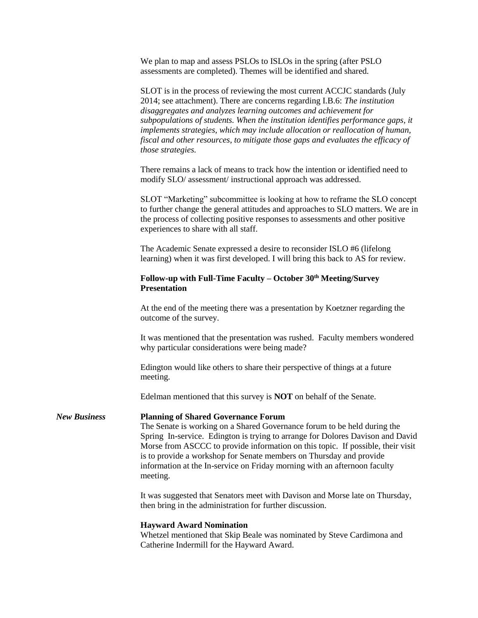We plan to map and assess PSLOs to ISLOs in the spring (after PSLO assessments are completed). Themes will be identified and shared.

SLOT is in the process of reviewing the most current ACCJC standards (July 2014; see attachment). There are concerns regarding I.B.6: *The institution disaggregates and analyzes learning outcomes and achievement for subpopulations of students. When the institution identifies performance gaps, it implements strategies, which may include allocation or reallocation of human, fiscal and other resources, to mitigate those gaps and evaluates the efficacy of those strategies.*

There remains a lack of means to track how the intention or identified need to modify SLO/ assessment/ instructional approach was addressed.

SLOT "Marketing" subcommittee is looking at how to reframe the SLO concept to further change the general attitudes and approaches to SLO matters. We are in the process of collecting positive responses to assessments and other positive experiences to share with all staff.

The Academic Senate expressed a desire to reconsider ISLO #6 (lifelong learning) when it was first developed. I will bring this back to AS for review.

## **Follow-up with Full-Time Faculty – October 30th Meeting/Survey Presentation**

At the end of the meeting there was a presentation by Koetzner regarding the outcome of the survey.

It was mentioned that the presentation was rushed. Faculty members wondered why particular considerations were being made?

Edington would like others to share their perspective of things at a future meeting.

Edelman mentioned that this survey is **NOT** on behalf of the Senate.

#### *New Business* **Planning of Shared Governance Forum**

The Senate is working on a Shared Governance forum to be held during the Spring In-service. Edington is trying to arrange for Dolores Davison and David Morse from ASCCC to provide information on this topic. If possible, their visit is to provide a workshop for Senate members on Thursday and provide information at the In-service on Friday morning with an afternoon faculty meeting.

It was suggested that Senators meet with Davison and Morse late on Thursday, then bring in the administration for further discussion.

#### **Hayward Award Nomination**

Whetzel mentioned that Skip Beale was nominated by Steve Cardimona and Catherine Indermill for the Hayward Award.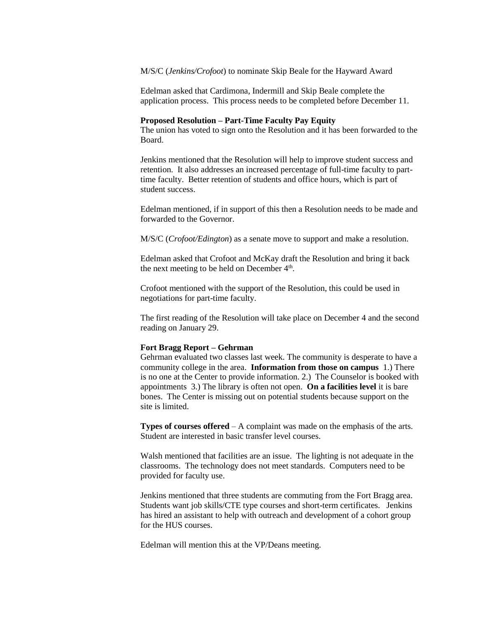M/S/C (*Jenkins/Crofoot*) to nominate Skip Beale for the Hayward Award

Edelman asked that Cardimona, Indermill and Skip Beale complete the application process. This process needs to be completed before December 11.

#### **Proposed Resolution – Part-Time Faculty Pay Equity**

The union has voted to sign onto the Resolution and it has been forwarded to the Board.

Jenkins mentioned that the Resolution will help to improve student success and retention. It also addresses an increased percentage of full-time faculty to parttime faculty. Better retention of students and office hours, which is part of student success.

Edelman mentioned, if in support of this then a Resolution needs to be made and forwarded to the Governor.

M/S/C (*Crofoot/Edington*) as a senate move to support and make a resolution.

Edelman asked that Crofoot and McKay draft the Resolution and bring it back the next meeting to be held on December  $4<sup>th</sup>$ .

Crofoot mentioned with the support of the Resolution, this could be used in negotiations for part-time faculty.

The first reading of the Resolution will take place on December 4 and the second reading on January 29.

#### **Fort Bragg Report – Gehrman**

Gehrman evaluated two classes last week. The community is desperate to have a community college in the area. **Information from those on campus** 1.) There is no one at the Center to provide information. 2.) The Counselor is booked with appointments 3.) The library is often not open. **On a facilities level** it is bare bones. The Center is missing out on potential students because support on the site is limited.

**Types of courses offered** – A complaint was made on the emphasis of the arts. Student are interested in basic transfer level courses.

Walsh mentioned that facilities are an issue. The lighting is not adequate in the classrooms. The technology does not meet standards. Computers need to be provided for faculty use.

Jenkins mentioned that three students are commuting from the Fort Bragg area. Students want job skills/CTE type courses and short-term certificates. Jenkins has hired an assistant to help with outreach and development of a cohort group for the HUS courses.

Edelman will mention this at the VP/Deans meeting.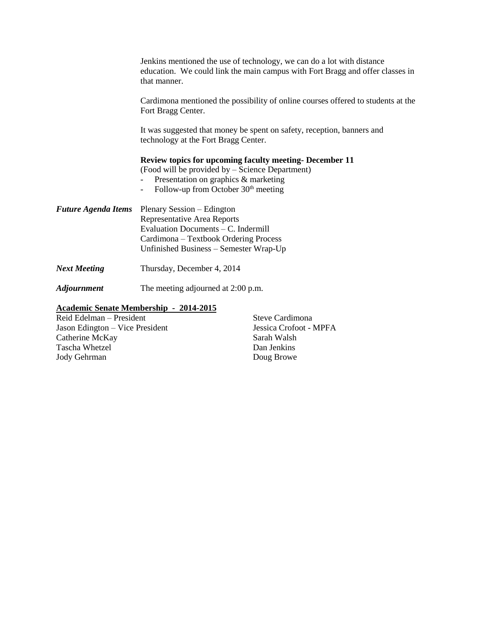|                            | Jenkins mentioned the use of technology, we can do a lot with distance<br>education. We could link the main campus with Fort Bragg and offer classes in<br>that manner.                                                        |
|----------------------------|--------------------------------------------------------------------------------------------------------------------------------------------------------------------------------------------------------------------------------|
|                            | Cardimona mentioned the possibility of online courses offered to students at the<br>Fort Bragg Center.                                                                                                                         |
|                            | It was suggested that money be spent on safety, reception, banners and<br>technology at the Fort Bragg Center.                                                                                                                 |
|                            | <b>Review topics for upcoming faculty meeting- December 11</b><br>(Food will be provided by – Science Department)<br>Presentation on graphics & marketing<br>Follow-up from October $30th$ meeting<br>$\overline{\phantom{a}}$ |
| <b>Future Agenda Items</b> | Plenary Session – Edington<br>Representative Area Reports<br>Evaluation Documents - C. Indermill<br>Cardimona – Textbook Ordering Process<br>Unfinished Business - Semester Wrap-Up                                            |
| <b>Next Meeting</b>        | Thursday, December 4, 2014                                                                                                                                                                                                     |
| <b>Adjournment</b>         | The meeting adjourned at 2:00 p.m.                                                                                                                                                                                             |
| Reid Edelman - President   | <b>Academic Senate Membership - 2014-2015</b><br>Steve Cardimona<br>$\overline{M}$                                                                                                                                             |

Jason Edington – Vice President Jessica Crofoot - MPFA Catherine McKay Sarah Walsh Tascha Whetzel Dan Jenkins Jody Gehrman Doug Browe